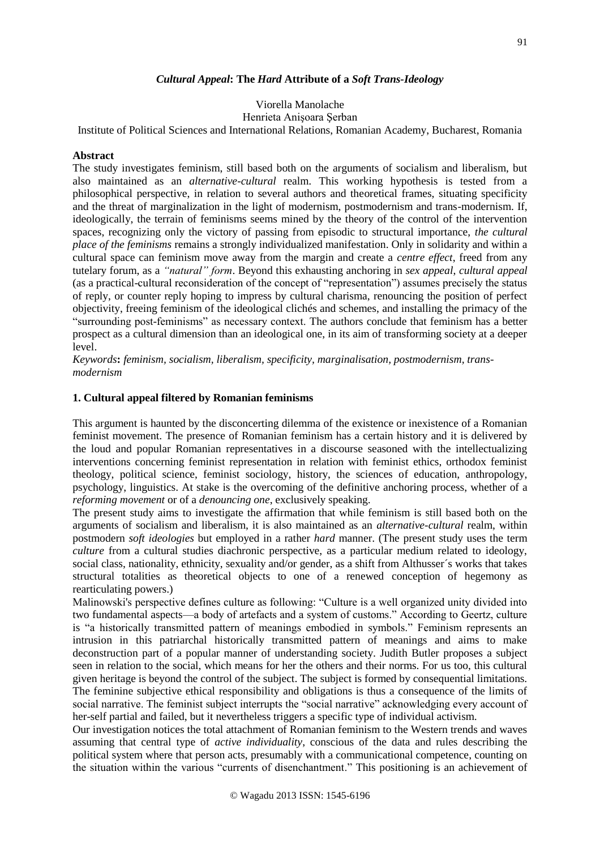## *Cultural Appeal***: The** *Hard* **Attribute of a** *Soft Trans-Ideology*

# Viorella Manolache

## Henrieta Anişoara Şerban

Institute of Political Sciences and International Relations, Romanian Academy, Bucharest, Romania

#### **Abstract**

The study investigates feminism, still based both on the arguments of socialism and liberalism, but also maintained as an *alternative-cultural* realm. This working hypothesis is tested from a philosophical perspective, in relation to several authors and theoretical frames, situating specificity and the threat of marginalization in the light of modernism, postmodernism and trans-modernism. If, ideologically, the terrain of feminisms seems mined by the theory of the control of the intervention spaces, recognizing only the victory of passing from episodic to structural importance, *the cultural place of the feminisms* remains a strongly individualized manifestation. Only in solidarity and within a cultural space can feminism move away from the margin and create a *centre effect*, freed from any tutelary forum, as a *"natural" form*. Beyond this exhausting anchoring in *sex appeal*, *cultural appeal* (as a practical-cultural reconsideration of the concept of "representation") assumes precisely the status of reply, or counter reply hoping to impress by cultural charisma, renouncing the position of perfect objectivity, freeing feminism of the ideological clichés and schemes, and installing the primacy of the "surrounding post-feminisms" as necessary context. The authors conclude that feminism has a better prospect as a cultural dimension than an ideological one, in its aim of transforming society at a deeper level.

*Keywords***:** *feminism, socialism, liberalism, specificity, marginalisation, postmodernism, transmodernism*

#### **1. Cultural appeal filtered by Romanian feminisms**

This argument is haunted by the disconcerting dilemma of the existence or inexistence of a Romanian feminist movement. The presence of Romanian feminism has a certain history and it is delivered by the loud and popular Romanian representatives in a discourse seasoned with the intellectualizing interventions concerning feminist representation in relation with feminist ethics, orthodox feminist theology, political science, feminist sociology, history, the sciences of education, anthropology, psychology, linguistics. At stake is the overcoming of the definitive anchoring process, whether of a *reforming movement* or of a *denouncing one*, exclusively speaking.

The present study aims to investigate the affirmation that while feminism is still based both on the arguments of socialism and liberalism, it is also maintained as an *alternative-cultural* realm, within postmodern *soft ideologies* but employed in a rather *hard* manner. (The present study uses the term *culture* from a cultural studies diachronic perspective, as a particular medium related to ideology, social class, nationality, ethnicity, sexuality and/or gender, as a shift from Althusser´s works that takes structural totalities as theoretical objects to one of a renewed conception of hegemony as rearticulating powers.)

Malinowski's perspective defines culture as following: "Culture is a well organized unity divided into two fundamental aspects—a body of artefacts and a system of customs." According to Geertz, culture is "a historically transmitted pattern of meanings embodied in symbols." Feminism represents an intrusion in this patriarchal historically transmitted pattern of meanings and aims to make deconstruction part of a popular manner of understanding society. Judith Butler proposes a subject seen in relation to the social, which means for her the others and their norms. For us too, this cultural given heritage is beyond the control of the subject. The subject is formed by consequential limitations. The feminine subjective ethical responsibility and obligations is thus a consequence of the limits of social narrative. The feminist subject interrupts the "social narrative" acknowledging every account of her-self partial and failed, but it nevertheless triggers a specific type of individual activism.

Our investigation notices the total attachment of Romanian feminism to the Western trends and waves assuming that central type of *active individuality*, conscious of the data and rules describing the political system where that person acts, presumably with a communicational competence, counting on the situation within the various "currents of disenchantment." This positioning is an achievement of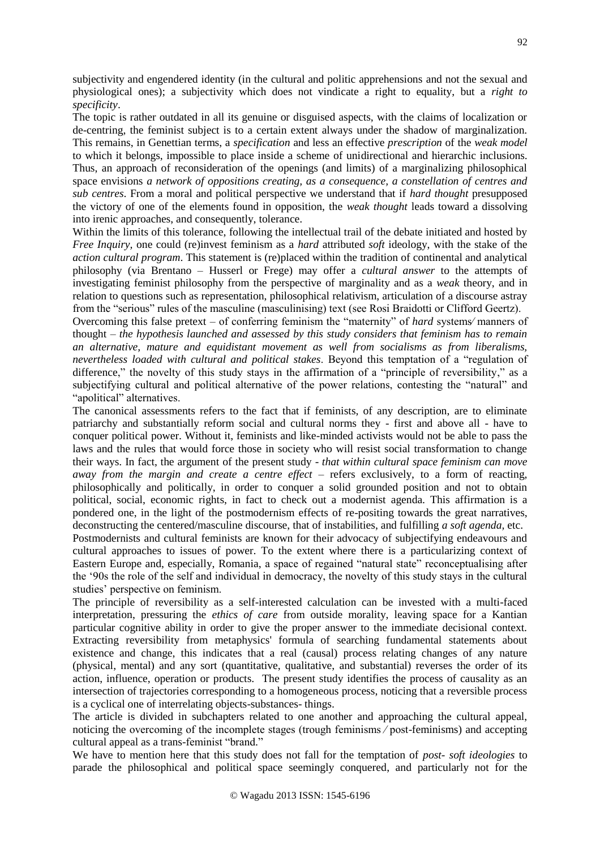subjectivity and engendered identity (in the cultural and politic apprehensions and not the sexual and physiological ones); a subjectivity which does not vindicate a right to equality, but a *right to specificity*.

The topic is rather outdated in all its genuine or disguised aspects, with the claims of localization or de-centring, the feminist subject is to a certain extent always under the shadow of marginalization. This remains, in Genettian terms, a *specification* and less an effective *prescription* of the *weak model*  to which it belongs, impossible to place inside a scheme of unidirectional and hierarchic inclusions. Thus, an approach of reconsideration of the openings (and limits) of a marginalizing philosophical space envisions *a network of oppositions creating, as a consequence, a constellation of centres and sub centres*. From a moral and political perspective we understand that if *hard thought* presupposed the victory of one of the elements found in opposition, the *weak thought* leads toward a dissolving into irenic approaches, and consequently, tolerance.

Within the limits of this tolerance, following the intellectual trail of the debate initiated and hosted by *Free Inquiry,* one could (re)invest feminism as a *hard* attributed *soft* ideology, with the stake of the *action cultural program*. This statement is (re)placed within the tradition of continental and analytical philosophy (via Brentano – Husserl or Frege) may offer a *cultural answer* to the attempts of investigating feminist philosophy from the perspective of marginality and as a *weak* theory, and in relation to questions such as representation, philosophical relativism, articulation of a discourse astray from the "serious" rules of the masculine (masculinising) text (see Rosi Braidotti or Clifford Geertz).

Overcoming this false pretext – of conferring feminism the "maternity" of *hard* systems∕ manners of thought – *the hypothesis launched and assessed by this study considers that feminism has to remain an alternative, mature and equidistant movement as well from socialisms as from liberalisms, nevertheless loaded with cultural and political stakes*. Beyond this temptation of a "regulation of difference," the novelty of this study stays in the affirmation of a "principle of reversibility," as a subjectifying cultural and political alternative of the power relations, contesting the "natural" and "apolitical" alternatives.

The canonical assessments refers to the fact that if feminists, of any description, are to eliminate patriarchy and substantially reform social and cultural norms they - first and above all - have to conquer political power. Without it, feminists and like-minded activists would not be able to pass the laws and the rules that would force those in society who will resist social transformation to change their ways. In fact, the argument of the present study - *that within cultural space feminism can move away from the margin and create a centre effect* – refers exclusively, to a form of reacting, philosophically and politically, in order to conquer a solid grounded position and not to obtain political, social, economic rights, in fact to check out a modernist agenda. This affirmation is a pondered one, in the light of the postmodernism effects of re-positing towards the great narratives, deconstructing the centered/masculine discourse, that of instabilities, and fulfilling *a soft agenda,* etc. Postmodernists and cultural feminists are known for their advocacy of subjectifying endeavours and

cultural approaches to issues of power. To the extent where there is a particularizing context of Eastern Europe and, especially, Romania, a space of regained "natural state" reconceptualising after the '90s the role of the self and individual in democracy, the novelty of this study stays in the cultural studies' perspective on feminism.

The principle of reversibility as a self-interested calculation can be invested with a multi-faced interpretation, pressuring the *ethics of care* from outside morality, leaving space for a Kantian particular cognitive ability in order to give the proper answer to the immediate decisional context. Extracting reversibility from metaphysics' formula of searching fundamental statements about existence and change, this indicates that a real (causal) process relating changes of any nature (physical, mental) and any sort (quantitative, qualitative, and substantial) reverses the order of its action, influence, operation or products. The present study identifies the process of causality as an intersection of trajectories corresponding to a homogeneous process, noticing that a reversible process is a cyclical one of interrelating objects-substances- things.

The article is divided in subchapters related to one another and approaching the cultural appeal, noticing the overcoming of the incomplete stages (trough feminisms ∕ post-feminisms) and accepting cultural appeal as a trans-feminist "brand."

We have to mention here that this study does not fall for the temptation of *post- soft ideologies* to parade the philosophical and political space seemingly conquered, and particularly not for the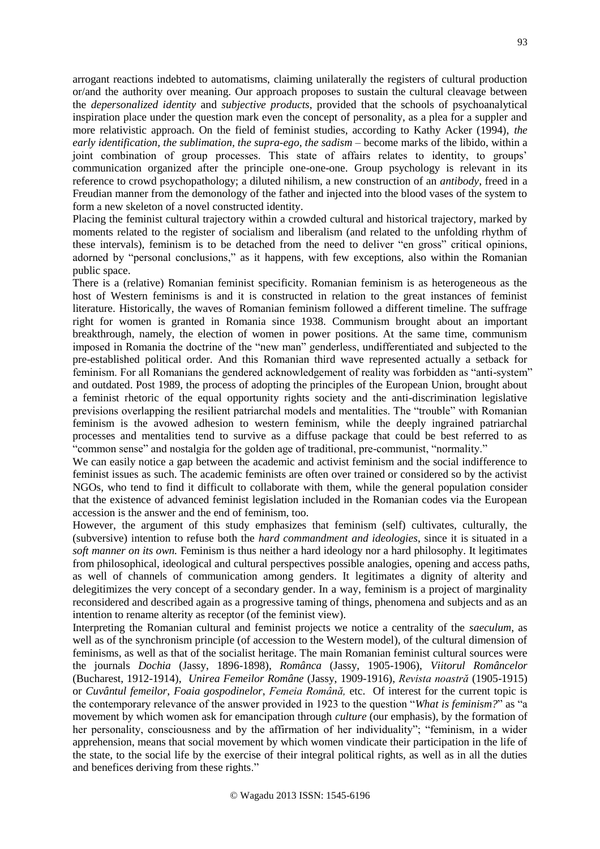arrogant reactions indebted to automatisms, claiming unilaterally the registers of cultural production or/and the authority over meaning. Our approach proposes to sustain the cultural cleavage between the *depersonalized identity* and *subjective products*, provided that the schools of psychoanalytical inspiration place under the question mark even the concept of personality, as a plea for a suppler and more relativistic approach. On the field of feminist studies, according to Kathy Acker (1994), *the*  early *identification, the sublimation, the supra-ego, the sadism* – become marks of the libido, within a joint combination of group processes. This state of affairs relates to identity, to groups' communication organized after the principle one-one-one. Group psychology is relevant in its reference to crowd psychopathology; a diluted nihilism, a new construction of an *antibody*, freed in a Freudian manner from the demonology of the father and injected into the blood vases of the system to form a new skeleton of a novel constructed identity.

Placing the feminist cultural trajectory within a crowded cultural and historical trajectory, marked by moments related to the register of socialism and liberalism (and related to the unfolding rhythm of these intervals), feminism is to be detached from the need to deliver "en gross" critical opinions, adorned by "personal conclusions," as it happens, with few exceptions, also within the Romanian public space.

There is a (relative) Romanian feminist specificity. Romanian feminism is as heterogeneous as the host of Western feminisms is and it is constructed in relation to the great instances of feminist literature. Historically, the waves of Romanian feminism followed a different timeline. The suffrage right for women is granted in Romania since 1938. Communism brought about an important breakthrough, namely, the election of women in power positions. At the same time, communism imposed in Romania the doctrine of the "new man" genderless, undifferentiated and subjected to the pre-established political order. And this Romanian third wave represented actually a setback for feminism. For all Romanians the gendered acknowledgement of reality was forbidden as "anti-system" and outdated. Post 1989, the process of adopting the principles of the European Union, brought about a feminist rhetoric of the equal opportunity rights society and the anti-discrimination legislative previsions overlapping the resilient patriarchal models and mentalities. The "trouble" with Romanian feminism is the avowed adhesion to western feminism, while the deeply ingrained patriarchal processes and mentalities tend to survive as a diffuse package that could be best referred to as "common sense" and nostalgia for the golden age of traditional, pre-communist, "normality."

We can easily notice a gap between the academic and activist feminism and the social indifference to feminist issues as such. The academic feminists are often over trained or considered so by the activist NGOs, who tend to find it difficult to collaborate with them, while the general population consider that the existence of advanced feminist legislation included in the Romanian codes via the European accession is the answer and the end of feminism, too.

However, the argument of this study emphasizes that feminism (self) cultivates, culturally, the (subversive) intention to refuse both the *hard commandment and ideologies*, since it is situated in a *soft manner on its own.* Feminism is thus neither a hard ideology nor a hard philosophy. It legitimates from philosophical, ideological and cultural perspectives possible analogies, opening and access paths, as well of channels of communication among genders. It legitimates a dignity of alterity and delegitimizes the very concept of a secondary gender. In a way, feminism is a project of marginality reconsidered and described again as a progressive taming of things, phenomena and subjects and as an intention to rename alterity as receptor (of the feminist view).

Interpreting the Romanian cultural and feminist projects we notice a centrality of the *saeculum*, as well as of the synchronism principle (of accession to the Western model), of the cultural dimension of feminisms, as well as that of the socialist heritage. The main Romanian feminist cultural sources were the journals *Dochia* (Jassy, 1896-1898), *Românca* (Jassy, 1905-1906), *Viitorul Româncelor*  (Bucharest, 1912-1914), *Unirea Femeilor Române* (Jassy, 1909-1916), *Revista noastră* (1905-1915) or *Cuvântul femeilor*, *Foaia gospodinelor*, *Femeia Română,* etc. Of interest for the current topic is the contemporary relevance of the answer provided in 1923 to the question "*What is feminism?*" as "a movement by which women ask for emancipation through *culture* (our emphasis), by the formation of her personality, consciousness and by the affirmation of her individuality"; "feminism, in a wider apprehension, means that social movement by which women vindicate their participation in the life of the state, to the social life by the exercise of their integral political rights, as well as in all the duties and benefices deriving from these rights."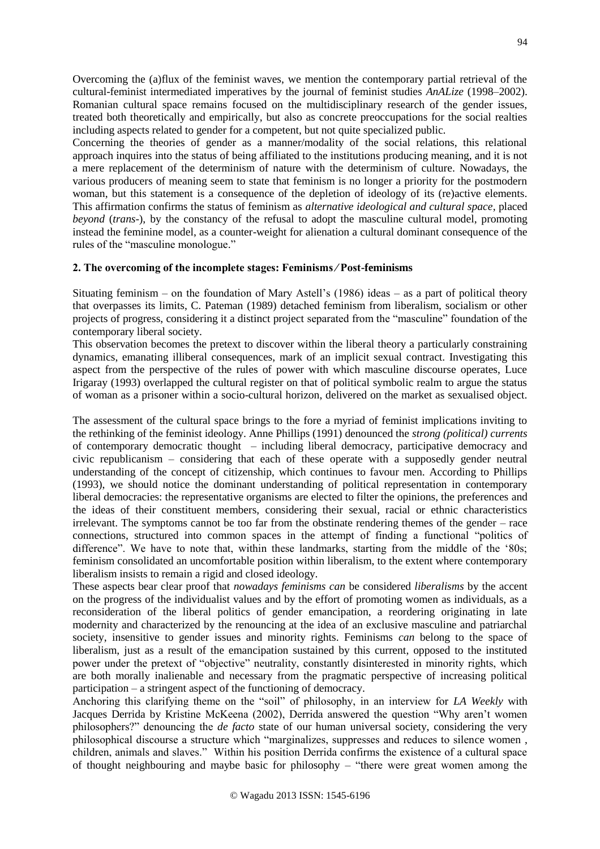Overcoming the (a)flux of the feminist waves, we mention the contemporary partial retrieval of the cultural-feminist intermediated imperatives by the journal of feminist studies *AnALize* (1998–2002). Romanian cultural space remains focused on the multidisciplinary research of the gender issues, treated both theoretically and empirically, but also as concrete preoccupations for the social realties including aspects related to gender for a competent, but not quite specialized public.

Concerning the theories of gender as a manner/modality of the social relations, this relational approach inquires into the status of being affiliated to the institutions producing meaning, and it is not a mere replacement of the determinism of nature with the determinism of culture. Nowadays, the various producers of meaning seem to state that feminism is no longer a priority for the postmodern woman, but this statement is a consequence of the depletion of ideology of its (re)active elements. This affirmation confirms the status of feminism as *alternative ideological and cultural space*, placed *beyond* (*trans*-), by the constancy of the refusal to adopt the masculine cultural model, promoting instead the feminine model, as a counter-weight for alienation a cultural dominant consequence of the rules of the "masculine monologue."

## **2. The overcoming of the incomplete stages: Feminisms ∕ Post-feminisms**

Situating feminism – on the foundation of Mary Astell's (1986) ideas – as a part of political theory that overpasses its limits, C. Pateman (1989) detached feminism from liberalism, socialism or other projects of progress, considering it a distinct project separated from the "masculine" foundation of the contemporary liberal society.

This observation becomes the pretext to discover within the liberal theory a particularly constraining dynamics, emanating illiberal consequences, mark of an implicit sexual contract. Investigating this aspect from the perspective of the rules of power with which masculine discourse operates, Luce Irigaray (1993) overlapped the cultural register on that of political symbolic realm to argue the status of woman as a prisoner within a socio-cultural horizon, delivered on the market as sexualised object.

The assessment of the cultural space brings to the fore a myriad of feminist implications inviting to the rethinking of the feminist ideology. Anne Phillips (1991) denounced the *strong (political) currents*  of contemporary democratic thought – including liberal democracy, participative democracy and civic republicanism – considering that each of these operate with a supposedly gender neutral understanding of the concept of citizenship, which continues to favour men. According to Phillips (1993), we should notice the dominant understanding of political representation in contemporary liberal democracies: the representative organisms are elected to filter the opinions, the preferences and the ideas of their constituent members, considering their sexual, racial or ethnic characteristics irrelevant. The symptoms cannot be too far from the obstinate rendering themes of the gender – race connections, structured into common spaces in the attempt of finding a functional "politics of difference". We have to note that, within these landmarks, starting from the middle of the '80s; feminism consolidated an uncomfortable position within liberalism, to the extent where contemporary liberalism insists to remain a rigid and closed ideology.

These aspects bear clear proof that *nowadays feminisms can* be considered *liberalisms* by the accent on the progress of the individualist values and by the effort of promoting women as individuals, as a reconsideration of the liberal politics of gender emancipation, a reordering originating in late modernity and characterized by the renouncing at the idea of an exclusive masculine and patriarchal society, insensitive to gender issues and minority rights. Feminisms *can* belong to the space of liberalism, just as a result of the emancipation sustained by this current, opposed to the instituted power under the pretext of "objective" neutrality, constantly disinterested in minority rights, which are both morally inalienable and necessary from the pragmatic perspective of increasing political participation – a stringent aspect of the functioning of democracy.

Anchoring this clarifying theme on the "soil" of philosophy, in an interview for *LA Weekly* with Jacques Derrida by Kristine McKeena (2002), Derrida answered the question "Why aren't women philosophers?" denouncing the *de facto* state of our human universal society, considering the very philosophical discourse a structure which "marginalizes, suppresses and reduces to silence women , children, animals and slaves." Within his position Derrida confirms the existence of a cultural space of thought neighbouring and maybe basic for philosophy – "there were great women among the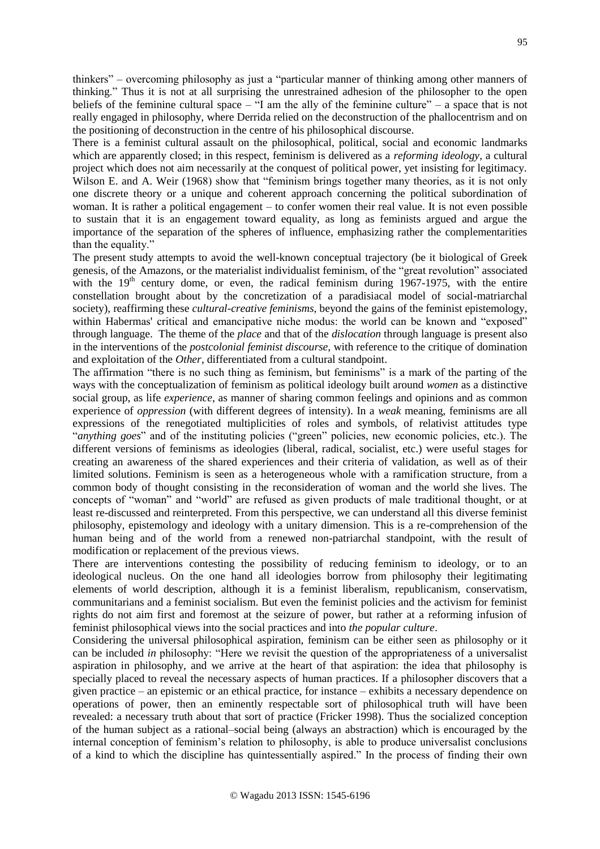thinkers" – overcoming philosophy as just a "particular manner of thinking among other manners of thinking." Thus it is not at all surprising the unrestrained adhesion of the philosopher to the open beliefs of the feminine cultural space – "I am the ally of the feminine culture" – a space that is not really engaged in philosophy, where Derrida relied on the deconstruction of the phallocentrism and on the positioning of deconstruction in the centre of his philosophical discourse.

There is a feminist cultural assault on the philosophical, political, social and economic landmarks which are apparently closed; in this respect, feminism is delivered as a *reforming ideology*, a cultural project which does not aim necessarily at the conquest of political power, yet insisting for legitimacy. Wilson E. and A. Weir (1968) show that "feminism brings together many theories, as it is not only one discrete theory or a unique and coherent approach concerning the political subordination of woman. It is rather a political engagement – to confer women their real value. It is not even possible to sustain that it is an engagement toward equality, as long as feminists argued and argue the importance of the separation of the spheres of influence, emphasizing rather the complementarities than the equality."

The present study attempts to avoid the well-known conceptual trajectory (be it biological of Greek genesis, of the Amazons, or the materialist individualist feminism, of the "great revolution" associated with the  $19<sup>th</sup>$  century dome, or even, the radical feminism during 1967-1975, with the entire constellation brought about by the concretization of a paradisiacal model of social-matriarchal society), reaffirming these *cultural-creative feminisms*, beyond the gains of the feminist epistemology, within Habermas' critical and emancipative niche modus: the world can be known and "exposed" through language. The theme of the *place* and that of the *dislocation* through language is present also in the interventions of the *postcolonial feminist discourse,* with reference to the critique of domination and exploitation of the *Other*, differentiated from a cultural standpoint.

The affirmation "there is no such thing as feminism, but feminisms" is a mark of the parting of the ways with the conceptualization of feminism as political ideology built around *women* as a distinctive social group, as life *experience*, as manner of sharing common feelings and opinions and as common experience of *oppression* (with different degrees of intensity). In a *weak* meaning, feminisms are all expressions of the renegotiated multiplicities of roles and symbols, of relativist attitudes type "*anything goes*" and of the instituting policies ("green" policies, new economic policies, etc.). The different versions of feminisms as ideologies (liberal, radical, socialist, etc.) were useful stages for creating an awareness of the shared experiences and their criteria of validation, as well as of their limited solutions. Feminism is seen as a heterogeneous whole with a ramification structure, from a common body of thought consisting in the reconsideration of woman and the world she lives. The concepts of "woman" and "world" are refused as given products of male traditional thought, or at least re-discussed and reinterpreted. From this perspective, we can understand all this diverse feminist philosophy, epistemology and ideology with a unitary dimension. This is a re-comprehension of the human being and of the world from a renewed non-patriarchal standpoint, with the result of modification or replacement of the previous views.

There are interventions contesting the possibility of reducing feminism to ideology, or to an ideological nucleus. On the one hand all ideologies borrow from philosophy their legitimating elements of world description, although it is a feminist liberalism, republicanism, conservatism, communitarians and a feminist socialism. But even the feminist policies and the activism for feminist rights do not aim first and foremost at the seizure of power, but rather at a reforming infusion of feminist philosophical views into the social practices and into *the popular culture*.

Considering the universal philosophical aspiration, feminism can be either seen as philosophy or it can be included *in* philosophy: "Here we revisit the question of the appropriateness of a universalist aspiration in philosophy, and we arrive at the heart of that aspiration: the idea that philosophy is specially placed to reveal the necessary aspects of human practices. If a philosopher discovers that a given practice – an epistemic or an ethical practice, for instance – exhibits a necessary dependence on operations of power, then an eminently respectable sort of philosophical truth will have been revealed: a necessary truth about that sort of practice (Fricker 1998). Thus the socialized conception of the human subject as a rational–social being (always an abstraction) which is encouraged by the internal conception of feminism's relation to philosophy, is able to produce universalist conclusions of a kind to which the discipline has quintessentially aspired." In the process of finding their own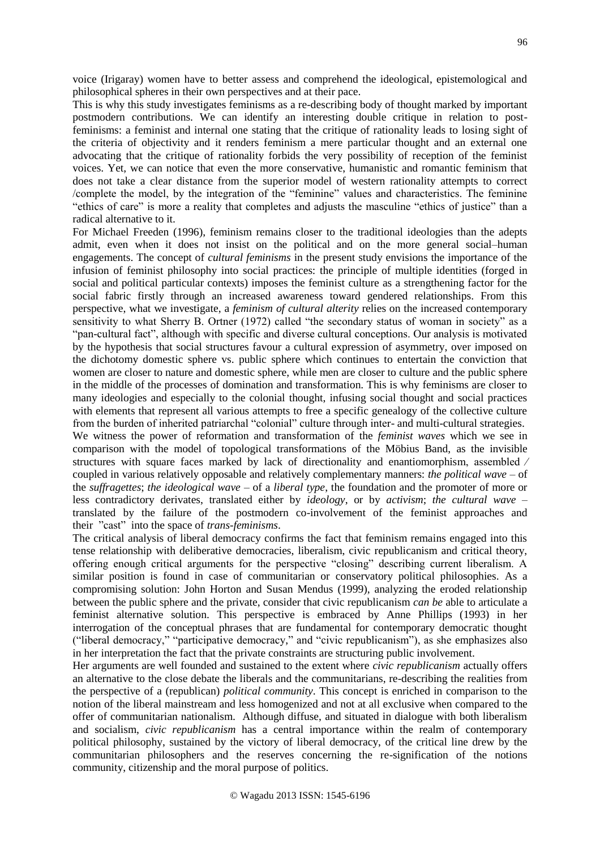voice (Irigaray) women have to better assess and comprehend the ideological, epistemological and philosophical spheres in their own perspectives and at their pace.

This is why this study investigates feminisms as a re-describing body of thought marked by important postmodern contributions. We can identify an interesting double critique in relation to postfeminisms: a feminist and internal one stating that the critique of rationality leads to losing sight of the criteria of objectivity and it renders feminism a mere particular thought and an external one advocating that the critique of rationality forbids the very possibility of reception of the feminist voices. Yet, we can notice that even the more conservative, humanistic and romantic feminism that does not take a clear distance from the superior model of western rationality attempts to correct /complete the model, by the integration of the "feminine" values and characteristics. The feminine "ethics of care" is more a reality that completes and adjusts the masculine "ethics of justice" than a radical alternative to it.

For Michael Freeden (1996), feminism remains closer to the traditional ideologies than the adepts admit, even when it does not insist on the political and on the more general social–human engagements. The concept of *cultural feminisms* in the present study envisions the importance of the infusion of feminist philosophy into social practices: the principle of multiple identities (forged in social and political particular contexts) imposes the feminist culture as a strengthening factor for the social fabric firstly through an increased awareness toward gendered relationships. From this perspective, what we investigate, a *feminism of cultural alterity* relies on the increased contemporary sensitivity to what Sherry B. Ortner (1972) called "the secondary status of woman in society" as a "pan-cultural fact", although with specific and diverse cultural conceptions. Our analysis is motivated by the hypothesis that social structures favour a cultural expression of asymmetry, over imposed on the dichotomy domestic sphere vs. public sphere which continues to entertain the conviction that women are closer to nature and domestic sphere, while men are closer to culture and the public sphere in the middle of the processes of domination and transformation. This is why feminisms are closer to many ideologies and especially to the colonial thought, infusing social thought and social practices with elements that represent all various attempts to free a specific genealogy of the collective culture from the burden of inherited patriarchal "colonial" culture through inter- and multi-cultural strategies.

We witness the power of reformation and transformation of the *feminist waves* which we see in comparison with the model of topological transformations of the Möbius Band, as the invisible structures with square faces marked by lack of directionality and enantiomorphism, assembled ∕ coupled in various relatively opposable and relatively complementary manners: *the political wave* – of the *suffragettes*; *the ideological wave* – of a *liberal type*, the foundation and the promoter of more or less contradictory derivates, translated either by *ideology*, or by *activism*; *the cultural wave* – translated by the failure of the postmodern co-involvement of the feminist approaches and their "cast" into the space of *trans-feminisms*.

The critical analysis of liberal democracy confirms the fact that feminism remains engaged into this tense relationship with deliberative democracies, liberalism, civic republicanism and critical theory, offering enough critical arguments for the perspective "closing" describing current liberalism. A similar position is found in case of communitarian or conservatory political philosophies. As a compromising solution: John Horton and Susan Mendus (1999), analyzing the eroded relationship between the public sphere and the private, consider that civic republicanism *can be* able to articulate a feminist alternative solution. This perspective is embraced by Anne Phillips (1993) in her interrogation of the conceptual phrases that are fundamental for contemporary democratic thought ("liberal democracy," "participative democracy," and "civic republicanism"), as she emphasizes also in her interpretation the fact that the private constraints are structuring public involvement.

Her arguments are well founded and sustained to the extent where *civic republicanism* actually offers an alternative to the close debate the liberals and the communitarians, re-describing the realities from the perspective of a (republican) *political community*. This concept is enriched in comparison to the notion of the liberal mainstream and less homogenized and not at all exclusive when compared to the offer of communitarian nationalism. Although diffuse, and situated in dialogue with both liberalism and socialism, *civic republicanism* has a central importance within the realm of contemporary political philosophy, sustained by the victory of liberal democracy, of the critical line drew by the communitarian philosophers and the reserves concerning the re-signification of the notions community, citizenship and the moral purpose of politics.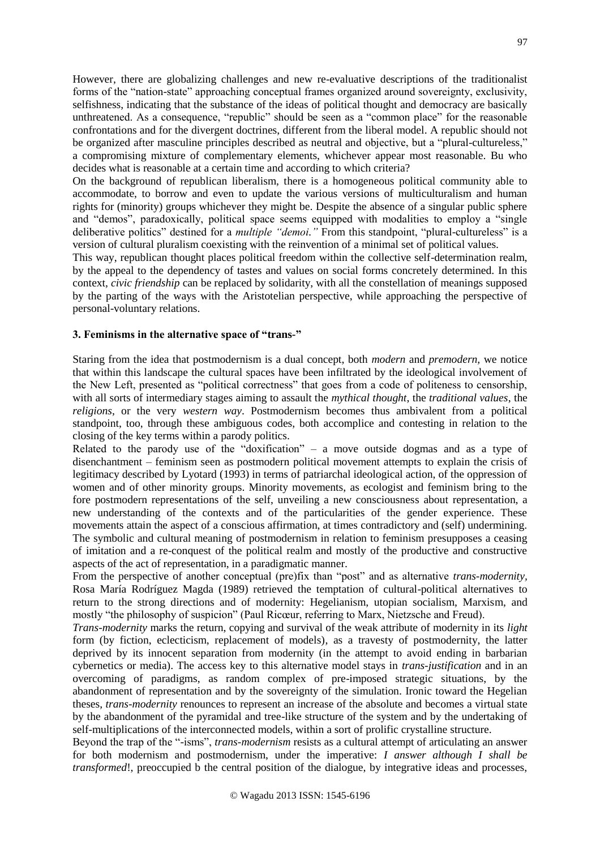However, there are globalizing challenges and new re-evaluative descriptions of the traditionalist forms of the "nation-state" approaching conceptual frames organized around sovereignty, exclusivity, selfishness, indicating that the substance of the ideas of political thought and democracy are basically unthreatened. As a consequence, "republic" should be seen as a "common place" for the reasonable confrontations and for the divergent doctrines, different from the liberal model. A republic should not be organized after masculine principles described as neutral and objective, but a "plural-cultureless," a compromising mixture of complementary elements, whichever appear most reasonable. Bu who decides what is reasonable at a certain time and according to which criteria?

On the background of republican liberalism, there is a homogeneous political community able to accommodate, to borrow and even to update the various versions of multiculturalism and human rights for (minority) groups whichever they might be. Despite the absence of a singular public sphere and "demos", paradoxically, political space seems equipped with modalities to employ a "single deliberative politics" destined for a *multiple "demoi."* From this standpoint, "plural-cultureless" is a version of cultural pluralism coexisting with the reinvention of a minimal set of political values.

This way, republican thought places political freedom within the collective self-determination realm, by the appeal to the dependency of tastes and values on social forms concretely determined. In this context*, civic friendship* can be replaced by solidarity, with all the constellation of meanings supposed by the parting of the ways with the Aristotelian perspective, while approaching the perspective of personal-voluntary relations.

### **3. Feminisms in the alternative space of "trans-"**

Staring from the idea that postmodernism is a dual concept, both *modern* and *premodern,* we notice that within this landscape the cultural spaces have been infiltrated by the ideological involvement of the New Left, presented as "political correctness" that goes from a code of politeness to censorship, with all sorts of intermediary stages aiming to assault the *mythical thought*, the *traditional values*, the *religions*, or the very *western way*. Postmodernism becomes thus ambivalent from a political standpoint, too, through these ambiguous codes, both accomplice and contesting in relation to the closing of the key terms within a parody politics.

Related to the parody use of the "doxification" – a move outside dogmas and as a type of disenchantment – feminism seen as postmodern political movement attempts to explain the crisis of legitimacy described by Lyotard (1993) in terms of patriarchal ideological action, of the oppression of women and of other minority groups. Minority movements, as ecologist and feminism bring to the fore postmodern representations of the self, unveiling a new consciousness about representation, a new understanding of the contexts and of the particularities of the gender experience. These movements attain the aspect of a conscious affirmation, at times contradictory and (self) undermining. The symbolic and cultural meaning of postmodernism in relation to feminism presupposes a ceasing of imitation and a re-conquest of the political realm and mostly of the productive and constructive aspects of the act of representation, in a paradigmatic manner.

From the perspective of another conceptual (pre)fix than "post" and as alternative *trans-modernity,* Rosa María Rodríguez Magda (1989) retrieved the temptation of cultural-political alternatives to return to the strong directions and of modernity: Hegelianism, utopian socialism, Marxism, and mostly "the philosophy of suspicion" (Paul Ricœur, referring to Marx, Nietzsche and Freud).

*Trans-modernity* marks the return, copying and survival of the weak attribute of modernity in its *light* form (by fiction, eclecticism, replacement of models), as a travesty of postmodernity, the latter deprived by its innocent separation from modernity (in the attempt to avoid ending in barbarian cybernetics or media). The access key to this alternative model stays in *trans-justification* and in an overcoming of paradigms, as random complex of pre-imposed strategic situations, by the abandonment of representation and by the sovereignty of the simulation. Ironic toward the Hegelian theses, *trans-modernity* renounces to represent an increase of the absolute and becomes a virtual state by the abandonment of the pyramidal and tree-like structure of the system and by the undertaking of self-multiplications of the interconnected models, within a sort of prolific crystalline structure.

Beyond the trap of the "-isms", *trans-modernism* resists as a cultural attempt of articulating an answer for both modernism and postmodernism, under the imperative: *I answer although I shall be transformed*!, preoccupied b the central position of the dialogue, by integrative ideas and processes,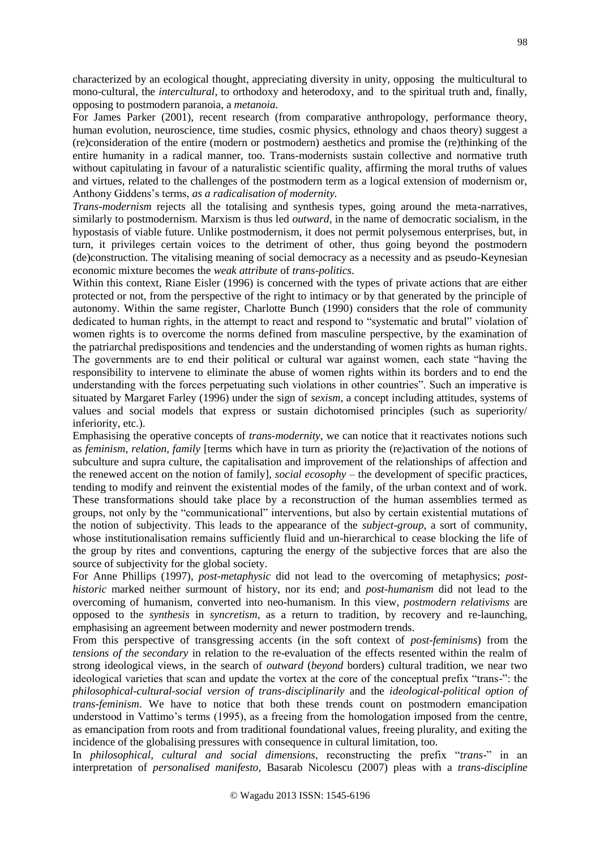characterized by an ecological thought, appreciating diversity in unity, opposing the multicultural to mono-cultural, the *intercultural*, to orthodoxy and heterodoxy, and to the spiritual truth and, finally, opposing to postmodern paranoia, a *metanoia.* 

For James Parker (2001), recent research (from comparative anthropology, performance theory, human evolution, neuroscience, time studies, cosmic physics, ethnology and chaos theory) suggest a (re)consideration of the entire (modern or postmodern) aesthetics and promise the (re)thinking of the entire humanity in a radical manner, too. Trans-modernists sustain collective and normative truth without capitulating in favour of a naturalistic scientific quality, affirming the moral truths of values and virtues, related to the challenges of the postmodern term as a logical extension of modernism or, Anthony Giddens's terms, *as a radicalisation of modernity.*

*Trans-modernism* rejects all the totalising and synthesis types, going around the meta-narratives, similarly to postmodernism. Marxism is thus led *outward*, in the name of democratic socialism, in the hypostasis of viable future. Unlike postmodernism, it does not permit polysemous enterprises, but, in turn, it privileges certain voices to the detriment of other, thus going beyond the postmodern (de)construction. The vitalising meaning of social democracy as a necessity and as pseudo-Keynesian economic mixture becomes the *weak attribute* of *trans-politics*.

Within this context, Riane Eisler (1996) is concerned with the types of private actions that are either protected or not, from the perspective of the right to intimacy or by that generated by the principle of autonomy. Within the same register, Charlotte Bunch (1990) considers that the role of community dedicated to human rights, in the attempt to react and respond to "systematic and brutal" violation of women rights is to overcome the norms defined from masculine perspective, by the examination of the patriarchal predispositions and tendencies and the understanding of women rights as human rights. The governments are to end their political or cultural war against women, each state "having the responsibility to intervene to eliminate the abuse of women rights within its borders and to end the understanding with the forces perpetuating such violations in other countries". Such an imperative is situated by Margaret Farley (1996) under the sign of *sexism*, a concept including attitudes, systems of values and social models that express or sustain dichotomised principles (such as superiority/ inferiority, etc.).

Emphasising the operative concepts of *trans-modernity*, we can notice that it reactivates notions such as *feminism, relation, family* [terms which have in turn as priority the (re)activation of the notions of subculture and supra culture, the capitalisation and improvement of the relationships of affection and the renewed accent on the notion of family], *social ecosophy* – the development of specific practices, tending to modify and reinvent the existential modes of the family, of the urban context and of work. These transformations should take place by a reconstruction of the human assemblies termed as groups, not only by the "communicational" interventions, but also by certain existential mutations of the notion of subjectivity. This leads to the appearance of the *subject-group*, a sort of community, whose institutionalisation remains sufficiently fluid and un-hierarchical to cease blocking the life of the group by rites and conventions, capturing the energy of the subjective forces that are also the source of subjectivity for the global society.

For Anne Phillips (1997), *post-metaphysic* did not lead to the overcoming of metaphysics; *posthistoric* marked neither surmount of history, nor its end; and *post-humanism* did not lead to the overcoming of humanism, converted into neo-humanism. In this view, *postmodern relativisms* are opposed to the *synthesis* in *syncretism*, as a return to tradition, by recovery and re-launching, emphasising an agreement between modernity and newer postmodern trends.

From this perspective of transgressing accents (in the soft context of *post-feminisms*) from the *tensions of the secondary* in relation to the re-evaluation of the effects resented within the realm of strong ideological views, in the search of *outward* (*beyond* borders) cultural tradition, we near two ideological varieties that scan and update the vortex at the core of the conceptual prefix "trans-": the *philosophical-cultural-social version of trans-disciplinarily* and the *ideological-political option of trans-feminism*. We have to notice that both these trends count on postmodern emancipation understood in Vattimo's terms (1995), as a freeing from the homologation imposed from the centre, as emancipation from roots and from traditional foundational values, freeing plurality, and exiting the incidence of the globalising pressures with consequence in cultural limitation, too.

In *philosophical, cultural and social dimensions*, reconstructing the prefix "*trans*-" in an interpretation of *personalised manifesto*, Basarab Nicolescu (2007) pleas with a *trans-discipline*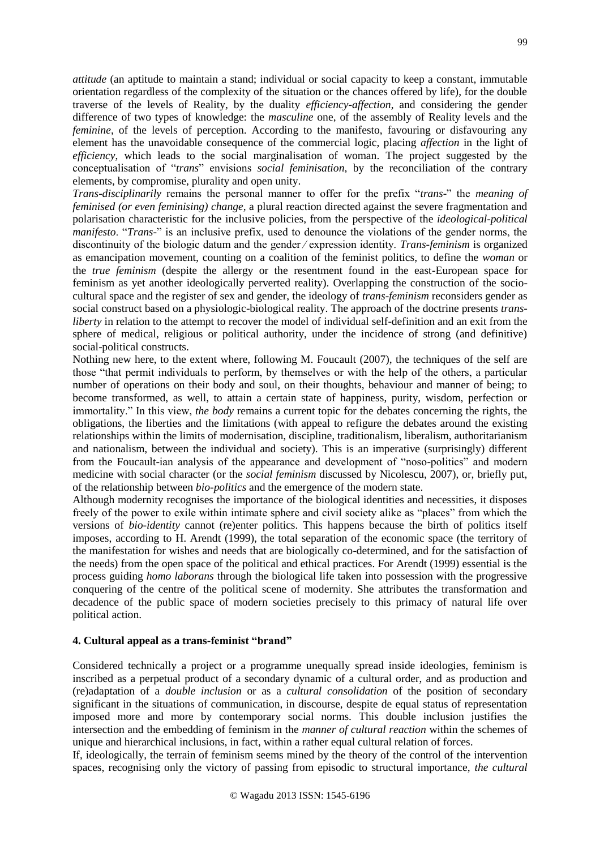*attitude* (an aptitude to maintain a stand; individual or social capacity to keep a constant, immutable orientation regardless of the complexity of the situation or the chances offered by life), for the double traverse of the levels of Reality, by the duality *efficiency-affection*, and considering the gender difference of two types of knowledge: the *masculine* one, of the assembly of Reality levels and the *feminine*, of the levels of perception. According to the manifesto, favouring or disfavouring any element has the unavoidable consequence of the commercial logic, placing *affection* in the light of *efficiency*, which leads to the social marginalisation of woman. The project suggested by the conceptualisation of "*trans*" envisions *social feminisation*, by the reconciliation of the contrary elements, by compromise, plurality and open unity.

*Trans-disciplinarily* remains the personal manner to offer for the prefix "*trans*-" the *meaning of feminised (or even feminising) change*, a plural reaction directed against the severe fragmentation and polarisation characteristic for the inclusive policies, from the perspective of the *ideological-political manifesto*. "*Trans*-" is an inclusive prefix, used to denounce the violations of the gender norms, the discontinuity of the biologic datum and the gender ∕ expression identity. *Trans-feminism* is organized as emancipation movement, counting on a coalition of the feminist politics, to define the *woman* or the *true feminism* (despite the allergy or the resentment found in the east-European space for feminism as yet another ideologically perverted reality). Overlapping the construction of the sociocultural space and the register of sex and gender, the ideology of *trans-feminism* reconsiders gender as social construct based on a physiologic-biological reality. The approach of the doctrine presents *transliberty* in relation to the attempt to recover the model of individual self-definition and an exit from the sphere of medical, religious or political authority, under the incidence of strong (and definitive) social-political constructs.

Nothing new here, to the extent where, following M. Foucault (2007), the techniques of the self are those "that permit individuals to perform, by themselves or with the help of the others, a particular number of operations on their body and soul, on their thoughts, behaviour and manner of being; to become transformed, as well, to attain a certain state of happiness, purity, wisdom, perfection or immortality." In this view, *the body* remains a current topic for the debates concerning the rights, the obligations, the liberties and the limitations (with appeal to refigure the debates around the existing relationships within the limits of modernisation, discipline, traditionalism, liberalism, authoritarianism and nationalism, between the individual and society). This is an imperative (surprisingly) different from the Foucault-ian analysis of the appearance and development of "noso-politics" and modern medicine with social character (or the *social feminism* discussed by Nicolescu, 2007), or, briefly put, of the relationship between *bio-politics* and the emergence of the modern state.

Although modernity recognises the importance of the biological identities and necessities, it disposes freely of the power to exile within intimate sphere and civil society alike as "places" from which the versions of *bio-identity* cannot (re)enter politics. This happens because the birth of politics itself imposes, according to H. Arendt (1999), the total separation of the economic space (the territory of the manifestation for wishes and needs that are biologically co-determined, and for the satisfaction of the needs) from the open space of the political and ethical practices. For Arendt (1999) essential is the process guiding *homo laborans* through the biological life taken into possession with the progressive conquering of the centre of the political scene of modernity. She attributes the transformation and decadence of the public space of modern societies precisely to this primacy of natural life over political action.

## **4. Cultural appeal as a trans-feminist "brand"**

Considered technically a project or a programme unequally spread inside ideologies, feminism is inscribed as a perpetual product of a secondary dynamic of a cultural order, and as production and (re)adaptation of a *double inclusion* or as a *cultural consolidation* of the position of secondary significant in the situations of communication, in discourse, despite de equal status of representation imposed more and more by contemporary social norms. This double inclusion justifies the intersection and the embedding of feminism in the *manner of cultural reaction* within the schemes of unique and hierarchical inclusions, in fact, within a rather equal cultural relation of forces.

If, ideologically, the terrain of feminism seems mined by the theory of the control of the intervention spaces, recognising only the victory of passing from episodic to structural importance, *the cultural*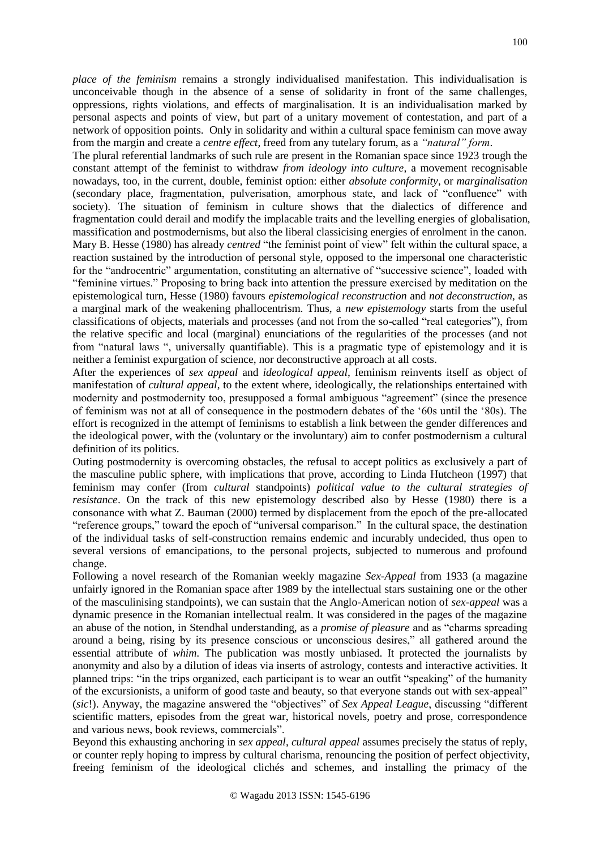*place of the feminism* remains a strongly individualised manifestation. This individualisation is unconceivable though in the absence of a sense of solidarity in front of the same challenges, oppressions, rights violations, and effects of marginalisation. It is an individualisation marked by personal aspects and points of view, but part of a unitary movement of contestation, and part of a network of opposition points. Only in solidarity and within a cultural space feminism can move away from the margin and create a *centre effect*, freed from any tutelary forum, as a *"natural" form*.

The plural referential landmarks of such rule are present in the Romanian space since 1923 trough the constant attempt of the feminist to withdraw *from ideology into culture*, a movement recognisable nowadays, too, in the current, double, feminist option: either *absolute conformity*, or *marginalisation* (secondary place, fragmentation, pulverisation, amorphous state, and lack of "confluence" with society). The situation of feminism in culture shows that the dialectics of difference and fragmentation could derail and modify the implacable traits and the levelling energies of globalisation, massification and postmodernisms, but also the liberal classicising energies of enrolment in the canon. Mary B. Hesse (1980) has already *centred* "the feminist point of view" felt within the cultural space, a reaction sustained by the introduction of personal style, opposed to the impersonal one characteristic for the "androcentric" argumentation, constituting an alternative of "successive science", loaded with "feminine virtues." Proposing to bring back into attention the pressure exercised by meditation on the epistemological turn, Hesse (1980) favours *epistemological reconstruction* and *not deconstruction,* as a marginal mark of the weakening phallocentrism. Thus, a *new epistemology* starts from the useful classifications of objects, materials and processes (and not from the so-called "real categories"), from the relative specific and local (marginal) enunciations of the regularities of the processes (and not from "natural laws ", universally quantifiable). This is a pragmatic type of epistemology and it is neither a feminist expurgation of science, nor deconstructive approach at all costs.

After the experiences of *sex appeal* and *ideological appeal*, feminism reinvents itself as object of manifestation of *cultural appeal*, to the extent where, ideologically, the relationships entertained with modernity and postmodernity too, presupposed a formal ambiguous "agreement" (since the presence of feminism was not at all of consequence in the postmodern debates of the '60s until the '80s). The effort is recognized in the attempt of feminisms to establish a link between the gender differences and the ideological power, with the (voluntary or the involuntary) aim to confer postmodernism a cultural definition of its politics.

Outing postmodernity is overcoming obstacles, the refusal to accept politics as exclusively a part of the masculine public sphere, with implications that prove, according to Linda Hutcheon (1997) that feminism may confer (from *cultural* standpoints) *political value to the cultural strategies of resistance*. On the track of this new epistemology described also by Hesse (1980) there is a consonance with what Z. Bauman (2000) termed by displacement from the epoch of the pre-allocated "reference groups," toward the epoch of "universal comparison." In the cultural space, the destination of the individual tasks of self-construction remains endemic and incurably undecided, thus open to several versions of emancipations, to the personal projects, subjected to numerous and profound change.

Following a novel research of the Romanian weekly magazine *Sex-Appeal* from 1933 (a magazine unfairly ignored in the Romanian space after 1989 by the intellectual stars sustaining one or the other of the masculinising standpoints), we can sustain that the Anglo-American notion of *sex-appeal* was a dynamic presence in the Romanian intellectual realm. It was considered in the pages of the magazine an abuse of the notion, in Stendhal understanding, as a *promise of pleasure* and as "charms spreading around a being, rising by its presence conscious or unconscious desires," all gathered around the essential attribute of *whim*. The publication was mostly unbiased. It protected the journalists by anonymity and also by a dilution of ideas via inserts of astrology, contests and interactive activities. It planned trips: "in the trips organized, each participant is to wear an outfit "speaking" of the humanity of the excursionists, a uniform of good taste and beauty, so that everyone stands out with sex-appeal" (*sic*!). Anyway, the magazine answered the "objectives" of *Sex Appeal League*, discussing "different scientific matters, episodes from the great war, historical novels, poetry and prose, correspondence and various news, book reviews, commercials".

Beyond this exhausting anchoring in *sex appeal*, *cultural appeal* assumes precisely the status of reply, or counter reply hoping to impress by cultural charisma, renouncing the position of perfect objectivity, freeing feminism of the ideological clichés and schemes, and installing the primacy of the